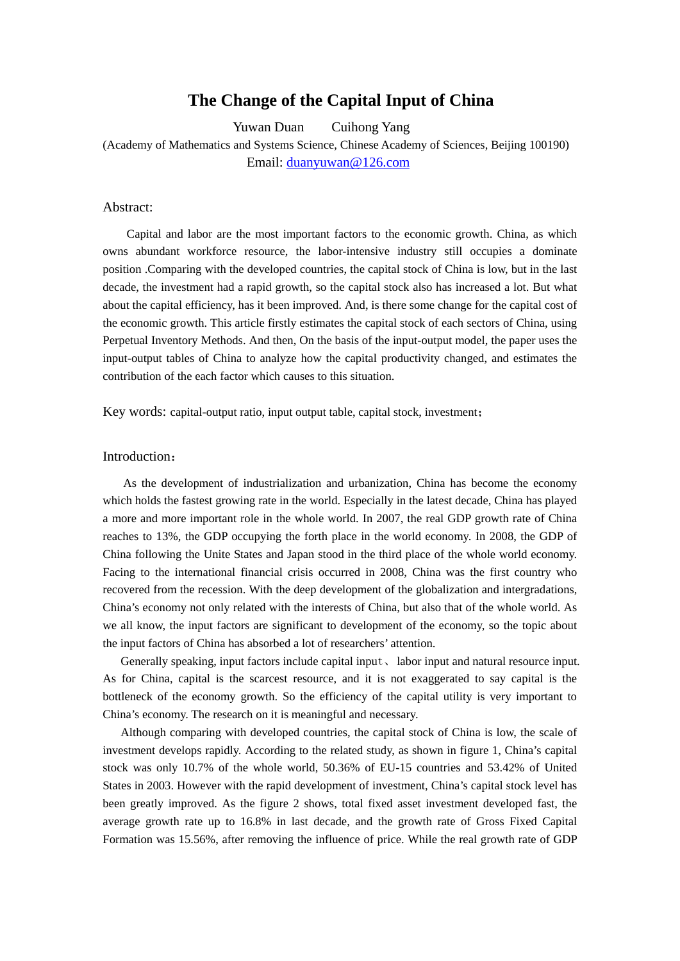## **The Change of the Capital Input of China**

Yuwan Duan Cuihong Yang (Academy of Mathematics and Systems Science, Chinese Academy of Sciences, Beijing 100190) Email: duanyuwan@126.com

## Abstract:

Capital and labor are the most important factors to the economic growth. China, as which owns abundant workforce resource, the labor-intensive industry still occupies a dominate position .Comparing with the developed countries, the capital stock of China is low, but in the last decade, the investment had a rapid growth, so the capital stock also has increased a lot. But what about the capital efficiency, has it been improved. And, is there some change for the capital cost of the economic growth. This article firstly estimates the capital stock of each sectors of China, using Perpetual Inventory Methods. And then, On the basis of the input-output model, the paper uses the input-output tables of China to analyze how the capital productivity changed, and estimates the contribution of the each factor which causes to this situation.

Key words: capital-output ratio, input output table, capital stock, investment;

## Introduction:

 As the development of industrialization and urbanization, China has become the economy which holds the fastest growing rate in the world. Especially in the latest decade, China has played a more and more important role in the whole world. In 2007, the real GDP growth rate of China reaches to 13%, the GDP occupying the forth place in the world economy. In 2008, the GDP of China following the Unite States and Japan stood in the third place of the whole world economy. Facing to the international financial crisis occurred in 2008, China was the first country who recovered from the recession. With the deep development of the globalization and intergradations, China's economy not only related with the interests of China, but also that of the whole world. As we all know, the input factors are significant to development of the economy, so the topic about the input factors of China has absorbed a lot of researchers' attention.

 Generally speaking, input factors include capital input、 labor input and natural resource input. As for China, capital is the scarcest resource, and it is not exaggerated to say capital is the bottleneck of the economy growth. So the efficiency of the capital utility is very important to China's economy. The research on it is meaningful and necessary.

 Although comparing with developed countries, the capital stock of China is low, the scale of investment develops rapidly. According to the related study, as shown in figure 1, China's capital stock was only 10.7% of the whole world, 50.36% of EU-15 countries and 53.42% of United States in 2003. However with the rapid development of investment, China's capital stock level has been greatly improved. As the figure 2 shows, total fixed asset investment developed fast, the average growth rate up to 16.8% in last decade, and the growth rate of Gross Fixed Capital Formation was 15.56%, after removing the influence of price. While the real growth rate of GDP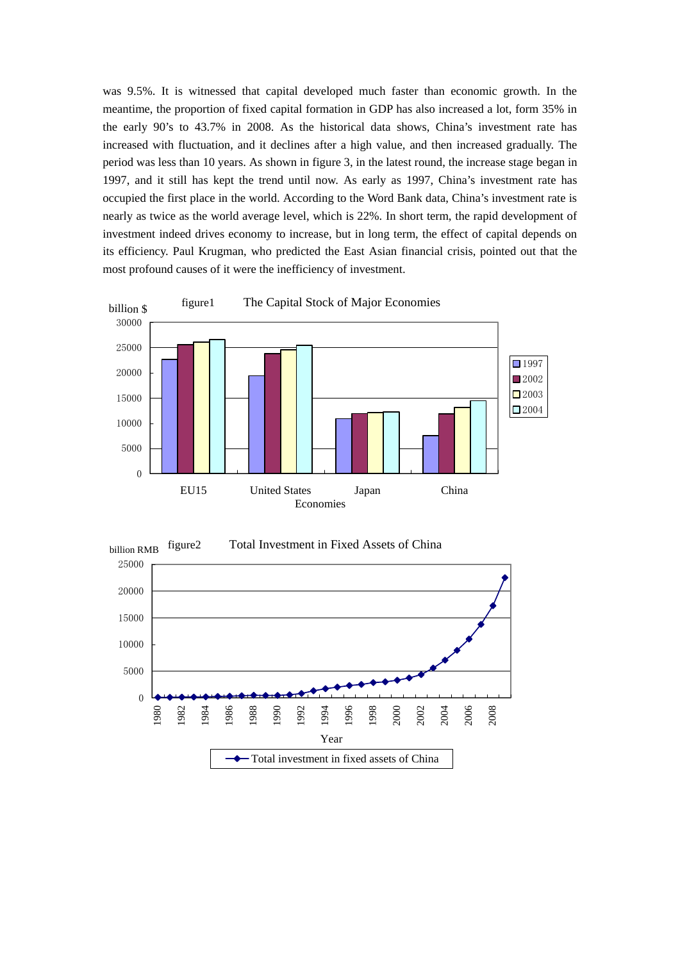was 9.5%. It is witnessed that capital developed much faster than economic growth. In the meantime, the proportion of fixed capital formation in GDP has also increased a lot, form 35% in the early 90's to 43.7% in 2008. As the historical data shows, China's investment rate has increased with fluctuation, and it declines after a high value, and then increased gradually. The period was less than 10 years. As shown in figure 3, in the latest round, the increase stage began in 1997, and it still has kept the trend until now. As early as 1997, China's investment rate has occupied the first place in the world. According to the Word Bank data, China's investment rate is nearly as twice as the world average level, which is 22%. In short term, the rapid development of investment indeed drives economy to increase, but in long term, the effect of capital depends on its efficiency. Paul Krugman, who predicted the East Asian financial crisis, pointed out that the most profound causes of it were the inefficiency of investment.



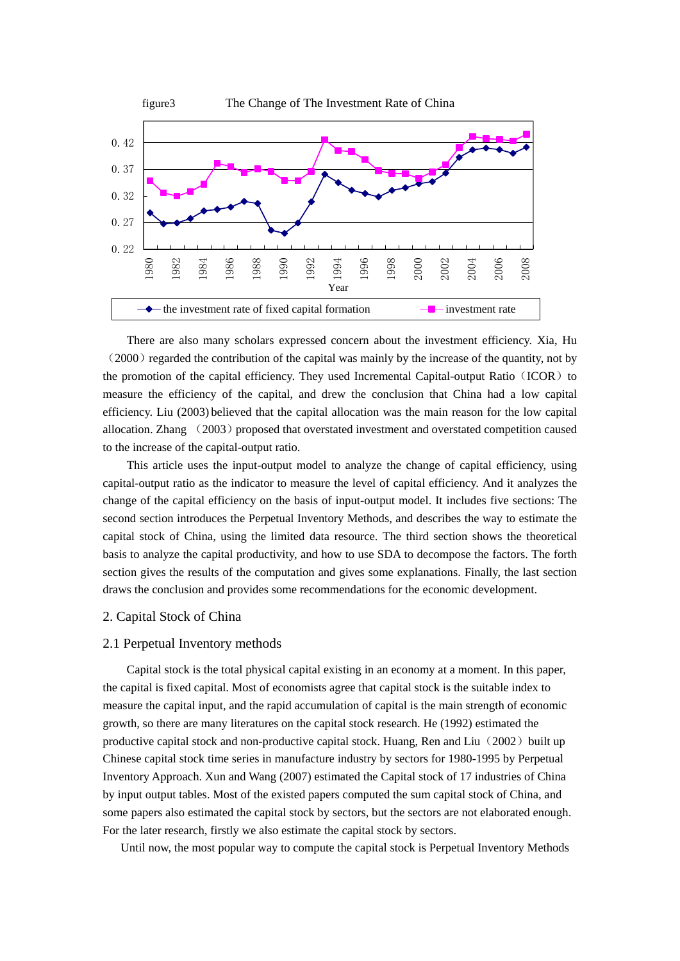

 There are also many scholars expressed concern about the investment efficiency. Xia, Hu  $(2000)$  regarded the contribution of the capital was mainly by the increase of the quantity, not by the promotion of the capital efficiency. They used Incremental Capital-output Ratio (ICOR) to measure the efficiency of the capital, and drew the conclusion that China had a low capital efficiency. Liu (2003) believed that the capital allocation was the main reason for the low capital allocation. Zhang (2003) proposed that overstated investment and overstated competition caused to the increase of the capital-output ratio.

 This article uses the input-output model to analyze the change of capital efficiency, using capital-output ratio as the indicator to measure the level of capital efficiency. And it analyzes the change of the capital efficiency on the basis of input-output model. It includes five sections: The second section introduces the Perpetual Inventory Methods, and describes the way to estimate the capital stock of China, using the limited data resource. The third section shows the theoretical basis to analyze the capital productivity, and how to use SDA to decompose the factors. The forth section gives the results of the computation and gives some explanations. Finally, the last section draws the conclusion and provides some recommendations for the economic development.

### 2. Capital Stock of China

#### 2.1 Perpetual Inventory methods

Capital stock is the total physical capital existing in an economy at a moment. In this paper, the capital is fixed capital. Most of economists agree that capital stock is the suitable index to measure the capital input, and the rapid accumulation of capital is the main strength of economic growth, so there are many literatures on the capital stock research. He (1992) estimated the productive capital stock and non-productive capital stock. Huang, Ren and Liu $(2002)$  built up Chinese capital stock time series in manufacture industry by sectors for 1980-1995 by Perpetual Inventory Approach. Xun and Wang (2007) estimated the Capital stock of 17 industries of China by input output tables. Most of the existed papers computed the sum capital stock of China, and some papers also estimated the capital stock by sectors, but the sectors are not elaborated enough. For the later research, firstly we also estimate the capital stock by sectors.

Until now, the most popular way to compute the capital stock is Perpetual Inventory Methods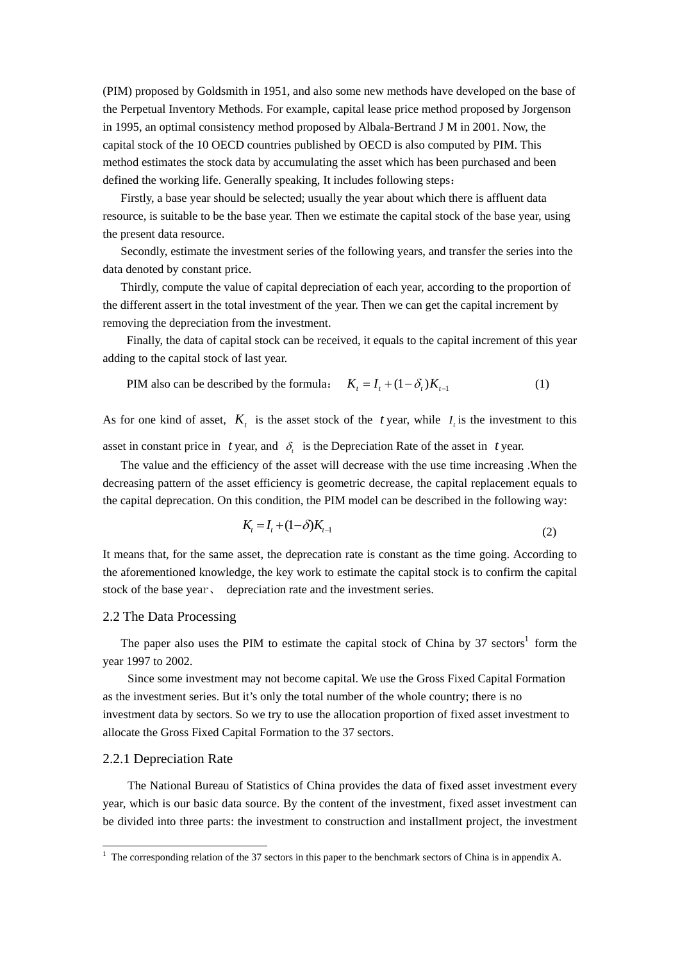(PIM) proposed by Goldsmith in 1951, and also some new methods have developed on the base of the Perpetual Inventory Methods. For example, capital lease price method proposed by Jorgenson in 1995, an optimal consistency method proposed by Albala-Bertrand J M in 2001. Now, the capital stock of the 10 OECD countries published by OECD is also computed by PIM. This method estimates the stock data by accumulating the asset which has been purchased and been defined the working life. Generally speaking, It includes following steps:

 Firstly, a base year should be selected; usually the year about which there is affluent data resource, is suitable to be the base year. Then we estimate the capital stock of the base year, using the present data resource.

 Secondly, estimate the investment series of the following years, and transfer the series into the data denoted by constant price.

 Thirdly, compute the value of capital depreciation of each year, according to the proportion of the different assert in the total investment of the year. Then we can get the capital increment by removing the depreciation from the investment.

Finally, the data of capital stock can be received, it equals to the capital increment of this year adding to the capital stock of last year.

PIM also can be described by the formula: 
$$
K_t = I_t + (1 - \delta_t)K_{t-1}
$$
 (1)

As for one kind of asset,  $K_t$  is the asset stock of the *t* year, while  $I_t$  is the investment to this asset in constant price in *t* year, and  $\delta$ , is the Depreciation Rate of the asset in *t* year.

 The value and the efficiency of the asset will decrease with the use time increasing .When the decreasing pattern of the asset efficiency is geometric decrease, the capital replacement equals to the capital deprecation. On this condition, the PIM model can be described in the following way:

$$
K_{t} = I_{t} + (1 - \delta)K_{t-1}
$$
\n(2)

It means that, for the same asset, the deprecation rate is constant as the time going. According to the aforementioned knowledge, the key work to estimate the capital stock is to confirm the capital stock of the base year, depreciation rate and the investment series.

#### 2.2 The Data Processing

The paper also uses the PIM to estimate the capital stock of China by  $37$  sectors<sup>1</sup> form the year 1997 to 2002.

Since some investment may not become capital. We use the Gross Fixed Capital Formation as the investment series. But it's only the total number of the whole country; there is no investment data by sectors. So we try to use the allocation proportion of fixed asset investment to allocate the Gross Fixed Capital Formation to the 37 sectors.

#### 2.2.1 Depreciation Rate

<u>.</u>

The National Bureau of Statistics of China provides the data of fixed asset investment every year, which is our basic data source. By the content of the investment, fixed asset investment can be divided into three parts: the investment to construction and installment project, the investment

<sup>&</sup>lt;sup>1</sup> The corresponding relation of the 37 sectors in this paper to the benchmark sectors of China is in appendix A.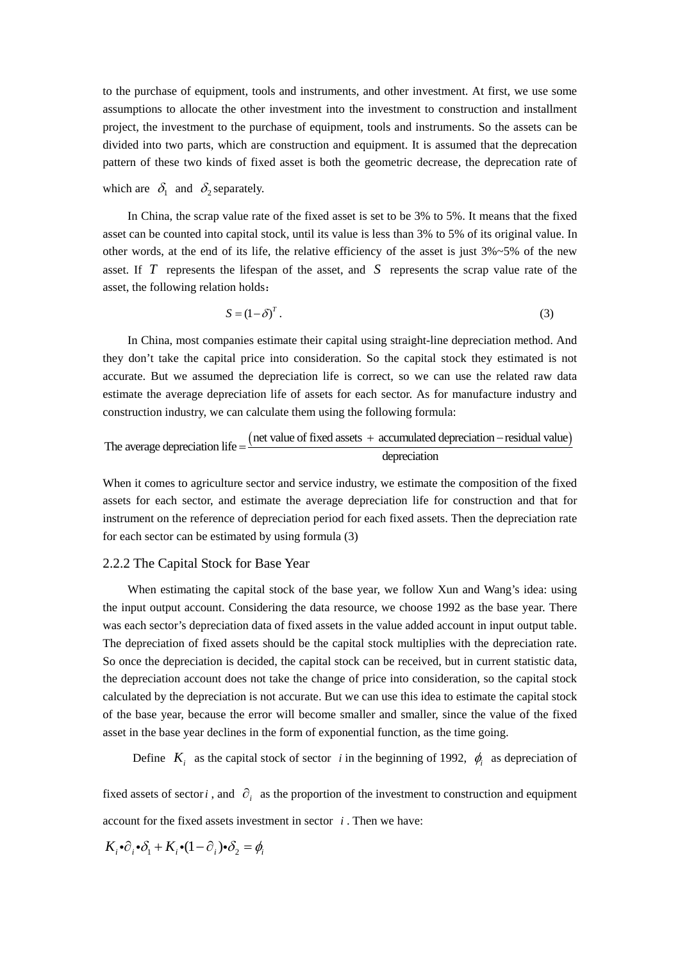to the purchase of equipment, tools and instruments, and other investment. At first, we use some assumptions to allocate the other investment into the investment to construction and installment project, the investment to the purchase of equipment, tools and instruments. So the assets can be divided into two parts, which are construction and equipment. It is assumed that the deprecation pattern of these two kinds of fixed asset is both the geometric decrease, the deprecation rate of

which are  $\delta_1$  and  $\delta_2$  separately.

In China, the scrap value rate of the fixed asset is set to be 3% to 5%. It means that the fixed asset can be counted into capital stock, until its value is less than 3% to 5% of its original value. In other words, at the end of its life, the relative efficiency of the asset is just  $3\%~5\%$  of the new asset. If *T* represents the lifespan of the asset, and *S* represents the scrap value rate of the asset, the following relation holds:

$$
S = (1 - \delta)^T. \tag{3}
$$

In China, most companies estimate their capital using straight-line depreciation method. And they don't take the capital price into consideration. So the capital stock they estimated is not accurate. But we assumed the depreciation life is correct, so we can use the related raw data estimate the average depreciation life of assets for each sector. As for manufacture industry and construction industry, we can calculate them using the following formula:

The average depreciation life = 
$$
\frac{(net value of fixed assets + accumulated depreciation - residual value)}{deprecision}
$$

When it comes to agriculture sector and service industry, we estimate the composition of the fixed assets for each sector, and estimate the average depreciation life for construction and that for instrument on the reference of depreciation period for each fixed assets. Then the depreciation rate for each sector can be estimated by using formula (3)

#### 2.2.2 The Capital Stock for Base Year

When estimating the capital stock of the base year, we follow Xun and Wang's idea: using the input output account. Considering the data resource, we choose 1992 as the base year. There was each sector's depreciation data of fixed assets in the value added account in input output table. The depreciation of fixed assets should be the capital stock multiplies with the depreciation rate. So once the depreciation is decided, the capital stock can be received, but in current statistic data, the depreciation account does not take the change of price into consideration, so the capital stock calculated by the depreciation is not accurate. But we can use this idea to estimate the capital stock of the base year, because the error will become smaller and smaller, since the value of the fixed asset in the base year declines in the form of exponential function, as the time going.

Define  $K_i$  as the capital stock of sector *i* in the beginning of 1992,  $\phi_i$  as depreciation of

fixed assets of sector *i*, and  $\partial_i$  as the proportion of the investment to construction and equipment account for the fixed assets investment in sector *i* . Then we have:

$$
K_i \bullet \partial_i \bullet \partial_1 + K_i \bullet (1 - \partial_i) \bullet \partial_2 = \phi_i
$$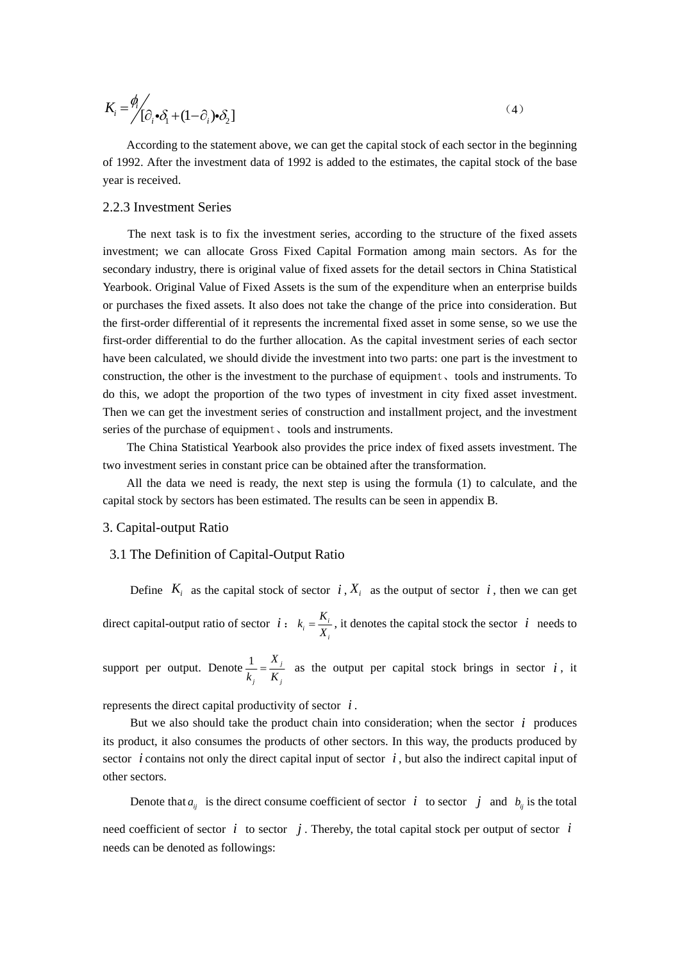$$
K_i = \frac{\phi_i}{[\partial_i \cdot \partial_1 + (1 - \partial_i) \cdot \partial_2]}
$$
 (4)

According to the statement above, we can get the capital stock of each sector in the beginning of 1992. After the investment data of 1992 is added to the estimates, the capital stock of the base year is received.

## 2.2.3 Investment Series

The next task is to fix the investment series, according to the structure of the fixed assets investment; we can allocate Gross Fixed Capital Formation among main sectors. As for the secondary industry, there is original value of fixed assets for the detail sectors in China Statistical Yearbook. Original Value of Fixed Assets is the sum of the expenditure when an enterprise builds or purchases the fixed assets. It also does not take the change of the price into consideration. But the first-order differential of it represents the incremental fixed asset in some sense, so we use the first-order differential to do the further allocation. As the capital investment series of each sector have been calculated, we should divide the investment into two parts: one part is the investment to construction, the other is the investment to the purchase of equipment、tools and instruments. To do this, we adopt the proportion of the two types of investment in city fixed asset investment. Then we can get the investment series of construction and installment project, and the investment series of the purchase of equipment, tools and instruments.

 The China Statistical Yearbook also provides the price index of fixed assets investment. The two investment series in constant price can be obtained after the transformation.

 All the data we need is ready, the next step is using the formula (1) to calculate, and the capital stock by sectors has been estimated. The results can be seen in appendix B.

#### 3. Capital-output Ratio

### 3.1 The Definition of Capital-Output Ratio

Define  $K_i$  as the capital stock of sector  $i, X_i$  as the output of sector  $i$ , then we can get direct capital-output ratio of sector  $i : k_i = \frac{\mathbf{A}_i}{X_i}$  $k_i = \frac{K_i}{X_i}$ , it denotes the capital stock the sector *i* needs to

support per output. Denote  $\frac{1}{x} = \frac{X_j}{X_j}$ *j j*  $\frac{1}{k_i} = \frac{X_j}{K_i}$  as the output per capital stock brings in sector *i*, it

represents the direct capital productivity of sector *i* .

But we also should take the product chain into consideration; when the sector  $i$  produces its product, it also consumes the products of other sectors. In this way, the products produced by sector *i* contains not only the direct capital input of sector  $i$ , but also the indirect capital input of other sectors.

Denote that  $a_{ij}$  is the direct consume coefficient of sector *i* to sector *j* and  $b_{ij}$  is the total need coefficient of sector  $i$  to sector  $j$ . Thereby, the total capital stock per output of sector  $i$ needs can be denoted as followings: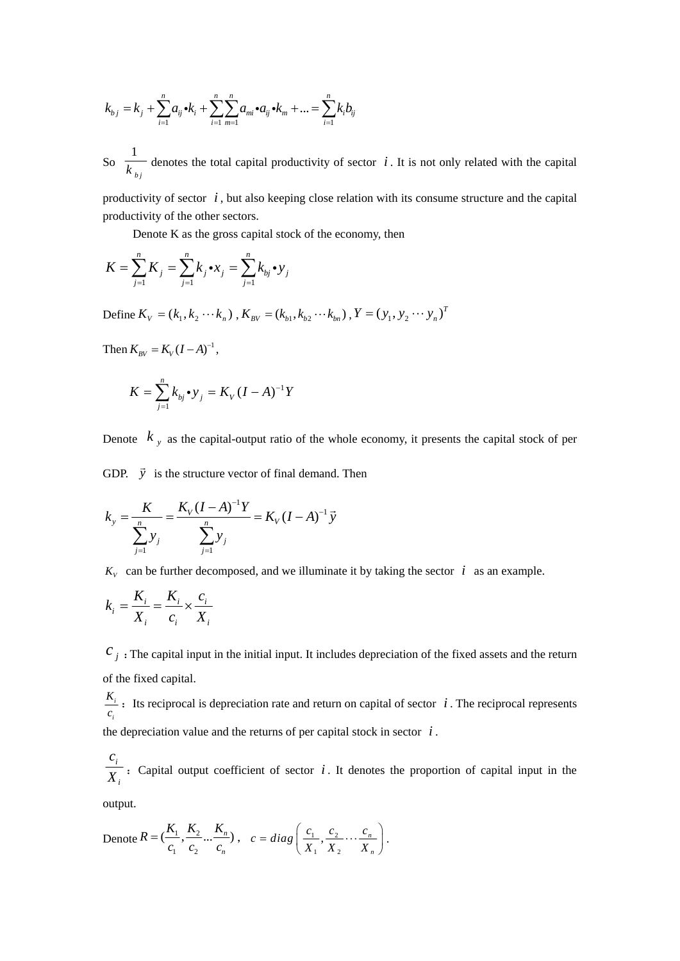$$
k_{b,j} = k_j + \sum_{i=1}^{n} a_{ij} \cdot k_i + \sum_{i=1}^{n} \sum_{m=1}^{n} a_{mi} \cdot a_{ij} \cdot k_m + ... = \sum_{i=1}^{n} k_i b_{ij}
$$

So  $\frac{1}{k_{b_j}}$  denotes the total capital productivity of sector *i*. It is not only related with the capital

productivity of sector *i* , but also keeping close relation with its consume structure and the capital productivity of the other sectors.

Denote K as the gross capital stock of the economy, then

$$
K = \sum_{j=1}^{n} K_j = \sum_{j=1}^{n} k_j \cdot x_j = \sum_{j=1}^{n} k_{bj} \cdot y_j
$$

Define  $K_v = (k_1, k_2 \cdots k_n)$ ,  $K_{BV} = (k_{b1}, k_{b2} \cdots k_{bn})$ ,  $Y = (y_1, y_2 \cdots y_n)^T$ 

Then  $K_{BV} = K_V (I - A)^{-1}$ ,

$$
K = \sum_{j=1}^{n} k_{bj} \cdot y_j = K_V (I - A)^{-1} Y
$$

Denote  $k_y$  as the capital-output ratio of the whole economy, it presents the capital stock of per

GDP.  $\vec{y}$  is the structure vector of final demand. Then

$$
k_{y} = \frac{K}{\sum_{j=1}^{n} y_{j}} = \frac{K_{V}(I - A)^{-1}Y}{\sum_{j=1}^{n} y_{j}} = K_{V}(I - A)^{-1}\vec{y}
$$

 $K_v$  can be further decomposed, and we illuminate it by taking the sector *i* as an example.

$$
k_i = \frac{K_i}{X_i} = \frac{K_i}{c_i} \times \frac{c_i}{X_i}
$$

 $c_j$ : The capital input in the initial input. It includes depreciation of the fixed assets and the return of the fixed capital.

*i i*  $\frac{K_i}{c_i}$  : Its reciprocal is depreciation rate and return on capital of sector *i* . The reciprocal represents the depreciation value and the returns of per capital stock in sector  $i$ .

*i i c*  $\overline{X_i}$ : Capital output coefficient of sector *i*. It denotes the proportion of capital input in the

output.

Denote 
$$
R = (\frac{K_1}{c_1}, \frac{K_2}{c_2} \dots \frac{K_n}{c_n}), \quad c = diag(\frac{c_1}{X_1}, \frac{c_2}{X_2} \dots \frac{c_n}{X_n}).
$$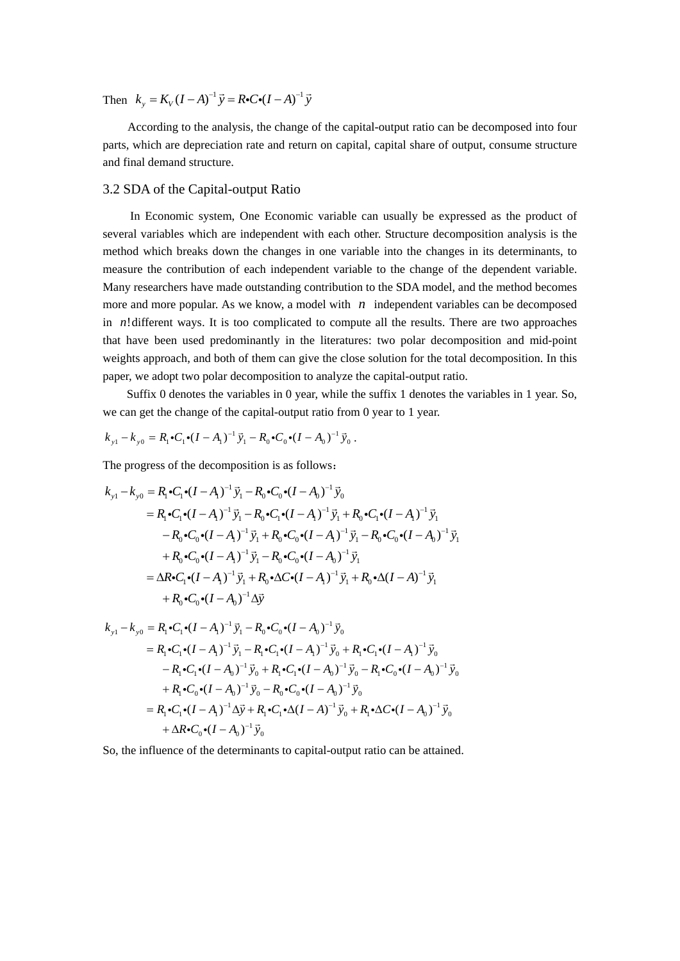Then  $k_y = K_V (I - A)^{-1} \vec{y} = R \cdot C \cdot (I - A)^{-1} \vec{y}$ 

According to the analysis, the change of the capital-output ratio can be decomposed into four parts, which are depreciation rate and return on capital, capital share of output, consume structure and final demand structure.

### 3.2 SDA of the Capital-output Ratio

In Economic system, One Economic variable can usually be expressed as the product of several variables which are independent with each other. Structure decomposition analysis is the method which breaks down the changes in one variable into the changes in its determinants, to measure the contribution of each independent variable to the change of the dependent variable. Many researchers have made outstanding contribution to the SDA model, and the method becomes more and more popular. As we know, a model with *n* independent variables can be decomposed in *n*!different ways. It is too complicated to compute all the results. There are two approaches that have been used predominantly in the literatures: two polar decomposition and mid-point weights approach, and both of them can give the close solution for the total decomposition. In this paper, we adopt two polar decomposition to analyze the capital-output ratio.

 Suffix 0 denotes the variables in 0 year, while the suffix 1 denotes the variables in 1 year. So, we can get the change of the capital-output ratio from 0 year to 1 year.

$$
k_{y1} - k_{y0} = R_1 \cdot C_1 \cdot (I - A_1)^{-1} \vec{y}_1 - R_0 \cdot C_0 \cdot (I - A_0)^{-1} \vec{y}_0.
$$

The progress of the decomposition is as follows:

$$
k_{y1} - k_{y0} = R_1 \cdot C_1 \cdot (I - A_1)^{-1} \vec{y}_1 - R_0 \cdot C_0 \cdot (I - A_0)^{-1} \vec{y}_0
$$
  
\n
$$
= R_1 \cdot C_1 \cdot (I - A_1)^{-1} \vec{y}_1 - R_0 \cdot C_1 \cdot (I - A_1)^{-1} \vec{y}_1 + R_0 \cdot C_1 \cdot (I - A_1)^{-1} \vec{y}_1
$$
  
\n
$$
- R_0 \cdot C_0 \cdot (I - A_1)^{-1} \vec{y}_1 + R_0 \cdot C_0 \cdot (I - A_1)^{-1} \vec{y}_1 - R_0 \cdot C_0 \cdot (I - A_0)^{-1} \vec{y}_1
$$
  
\n
$$
+ R_0 \cdot C_0 \cdot (I - A_1)^{-1} \vec{y}_1 - R_0 \cdot C_0 \cdot (I - A_0)^{-1} \vec{y}_1
$$
  
\n
$$
= \Delta R \cdot C_1 \cdot (I - A_1)^{-1} \vec{y}_1 + R_0 \cdot \Delta C \cdot (I - A_1)^{-1} \vec{y}_1 + R_0 \cdot \Delta (I - A)^{-1} \vec{y}_1
$$
  
\n
$$
+ R_0 \cdot C_0 \cdot (I - A_0)^{-1} \Delta \vec{y}
$$

$$
k_{y1} - k_{y0} = R_1 \cdot C_1 \cdot (I - A_1)^{-1} \vec{y}_1 - R_0 \cdot C_0 \cdot (I - A_0)^{-1} \vec{y}_0
$$
  
\n
$$
= R_1 \cdot C_1 \cdot (I - A_1)^{-1} \vec{y}_1 - R_1 \cdot C_1 \cdot (I - A_1)^{-1} \vec{y}_0 + R_1 \cdot C_1 \cdot (I - A_1)^{-1} \vec{y}_0
$$
  
\n
$$
- R_1 \cdot C_1 \cdot (I - A_0)^{-1} \vec{y}_0 + R_1 \cdot C_1 \cdot (I - A_0)^{-1} \vec{y}_0 - R_1 \cdot C_0 \cdot (I - A_0)^{-1} \vec{y}_0
$$
  
\n
$$
+ R_1 \cdot C_0 \cdot (I - A_0)^{-1} \vec{y}_0 - R_0 \cdot C_0 \cdot (I - A_0)^{-1} \vec{y}_0
$$
  
\n
$$
= R_1 \cdot C_1 \cdot (I - A_1)^{-1} \Delta \vec{y} + R_1 \cdot C_1 \cdot \Delta (I - A)^{-1} \vec{y}_0 + R_1 \cdot \Delta C \cdot (I - A_0)^{-1} \vec{y}_0
$$
  
\n
$$
+ \Delta R \cdot C_0 \cdot (I - A_0)^{-1} \vec{y}_0
$$

So, the influence of the determinants to capital-output ratio can be attained.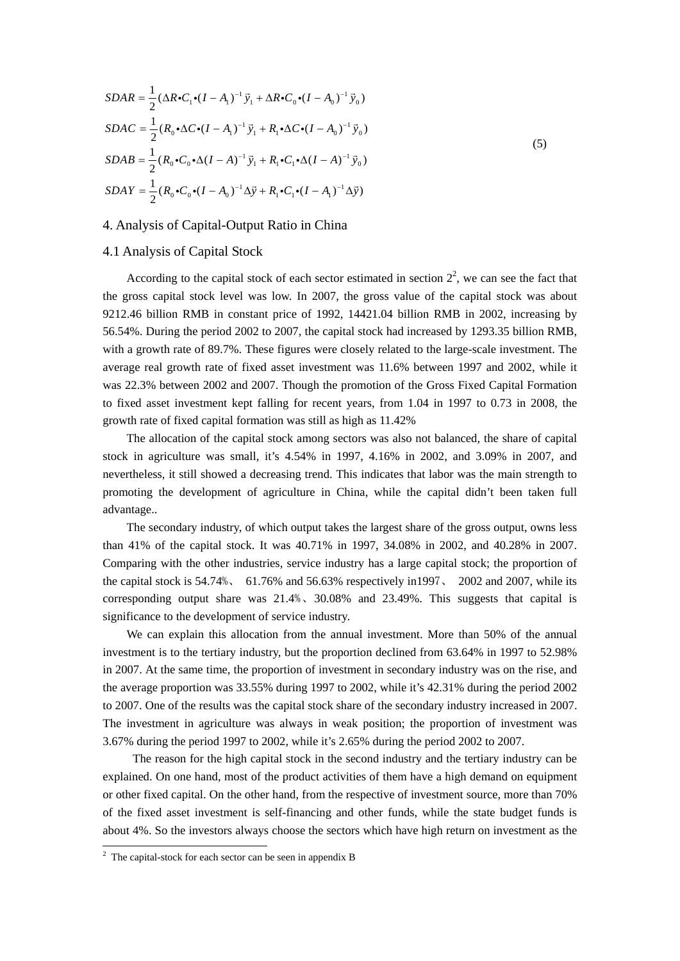$$
SDAR = \frac{1}{2} (\Delta R \cdot C_1 \cdot (I - A_1)^{-1} \vec{y}_1 + \Delta R \cdot C_0 \cdot (I - A_0)^{-1} \vec{y}_0)
$$
  
\n
$$
SDAC = \frac{1}{2} (R_0 \cdot \Delta C \cdot (I - A_1)^{-1} \vec{y}_1 + R_1 \cdot \Delta C \cdot (I - A_0)^{-1} \vec{y}_0)
$$
  
\n
$$
SDAB = \frac{1}{2} (R_0 \cdot C_0 \cdot \Delta (I - A)^{-1} \vec{y}_1 + R_1 \cdot C_1 \cdot \Delta (I - A)^{-1} \vec{y}_0)
$$
  
\n
$$
SDAY = \frac{1}{2} (R_0 \cdot C_0 \cdot (I - A_0)^{-1} \Delta \vec{y} + R_1 \cdot C_1 \cdot (I - A_1)^{-1} \Delta \vec{y})
$$
\n(5)

## 4. Analysis of Capital-Output Ratio in China

## 4.1 Analysis of Capital Stock

According to the capital stock of each sector estimated in section  $2^2$ , we can see the fact that the gross capital stock level was low. In 2007, the gross value of the capital stock was about 9212.46 billion RMB in constant price of 1992, 14421.04 billion RMB in 2002, increasing by 56.54%. During the period 2002 to 2007, the capital stock had increased by 1293.35 billion RMB, with a growth rate of 89.7%. These figures were closely related to the large-scale investment. The average real growth rate of fixed asset investment was 11.6% between 1997 and 2002, while it was 22.3% between 2002 and 2007. Though the promotion of the Gross Fixed Capital Formation to fixed asset investment kept falling for recent years, from 1.04 in 1997 to 0.73 in 2008, the growth rate of fixed capital formation was still as high as 11.42%

The allocation of the capital stock among sectors was also not balanced, the share of capital stock in agriculture was small, it's 4.54% in 1997, 4.16% in 2002, and 3.09% in 2007, and nevertheless, it still showed a decreasing trend. This indicates that labor was the main strength to promoting the development of agriculture in China, while the capital didn't been taken full advantage..

The secondary industry, of which output takes the largest share of the gross output, owns less than 41% of the capital stock. It was 40.71% in 1997, 34.08% in 2002, and 40.28% in 2007. Comparing with the other industries, service industry has a large capital stock; the proportion of the capital stock is 54.74%、 61.76% and 56.63% respectively in1997、 2002 and 2007, while its corresponding output share was 21.4%、30.08% and 23.49%. This suggests that capital is significance to the development of service industry.

We can explain this allocation from the annual investment. More than 50% of the annual investment is to the tertiary industry, but the proportion declined from 63.64% in 1997 to 52.98% in 2007. At the same time, the proportion of investment in secondary industry was on the rise, and the average proportion was 33.55% during 1997 to 2002, while it's 42.31% during the period 2002 to 2007. One of the results was the capital stock share of the secondary industry increased in 2007. The investment in agriculture was always in weak position; the proportion of investment was 3.67% during the period 1997 to 2002, while it's 2.65% during the period 2002 to 2007.

 The reason for the high capital stock in the second industry and the tertiary industry can be explained. On one hand, most of the product activities of them have a high demand on equipment or other fixed capital. On the other hand, from the respective of investment source, more than 70% of the fixed asset investment is self-financing and other funds, while the state budget funds is about 4%. So the investors always choose the sectors which have high return on investment as the

 2 The capital-stock for each sector can be seen in appendix B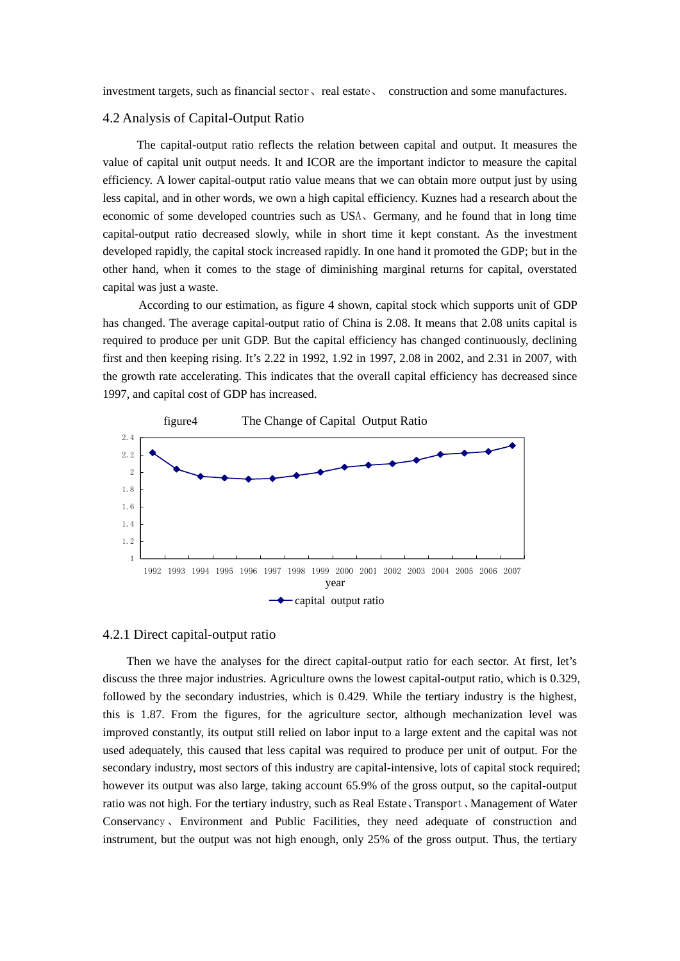investment targets, such as financial sector、real estate、 construction and some manufactures.

#### 4.2 Analysis of Capital-Output Ratio

 The capital-output ratio reflects the relation between capital and output. It measures the value of capital unit output needs. It and ICOR are the important indictor to measure the capital efficiency. A lower capital-output ratio value means that we can obtain more output just by using less capital, and in other words, we own a high capital efficiency. Kuznes had a research about the economic of some developed countries such as USA、Germany, and he found that in long time capital-output ratio decreased slowly, while in short time it kept constant. As the investment developed rapidly, the capital stock increased rapidly. In one hand it promoted the GDP; but in the other hand, when it comes to the stage of diminishing marginal returns for capital, overstated capital was just a waste.

According to our estimation, as figure 4 shown, capital stock which supports unit of GDP has changed. The average capital-output ratio of China is 2.08. It means that 2.08 units capital is required to produce per unit GDP. But the capital efficiency has changed continuously, declining first and then keeping rising. It's 2.22 in 1992, 1.92 in 1997, 2.08 in 2002, and 2.31 in 2007, with the growth rate accelerating. This indicates that the overall capital efficiency has decreased since 1997, and capital cost of GDP has increased.



#### 4.2.1 Direct capital-output ratio

Then we have the analyses for the direct capital-output ratio for each sector. At first, let's discuss the three major industries. Agriculture owns the lowest capital-output ratio, which is 0.329, followed by the secondary industries, which is 0.429. While the tertiary industry is the highest, this is 1.87. From the figures, for the agriculture sector, although mechanization level was improved constantly, its output still relied on labor input to a large extent and the capital was not used adequately, this caused that less capital was required to produce per unit of output. For the secondary industry, most sectors of this industry are capital-intensive, lots of capital stock required; however its output was also large, taking account 65.9% of the gross output, so the capital-output ratio was not high. For the tertiary industry, such as Real Estate、Transport、Management of Water Conservancy、Environment and Public Facilities, they need adequate of construction and instrument, but the output was not high enough, only 25% of the gross output. Thus, the tertiary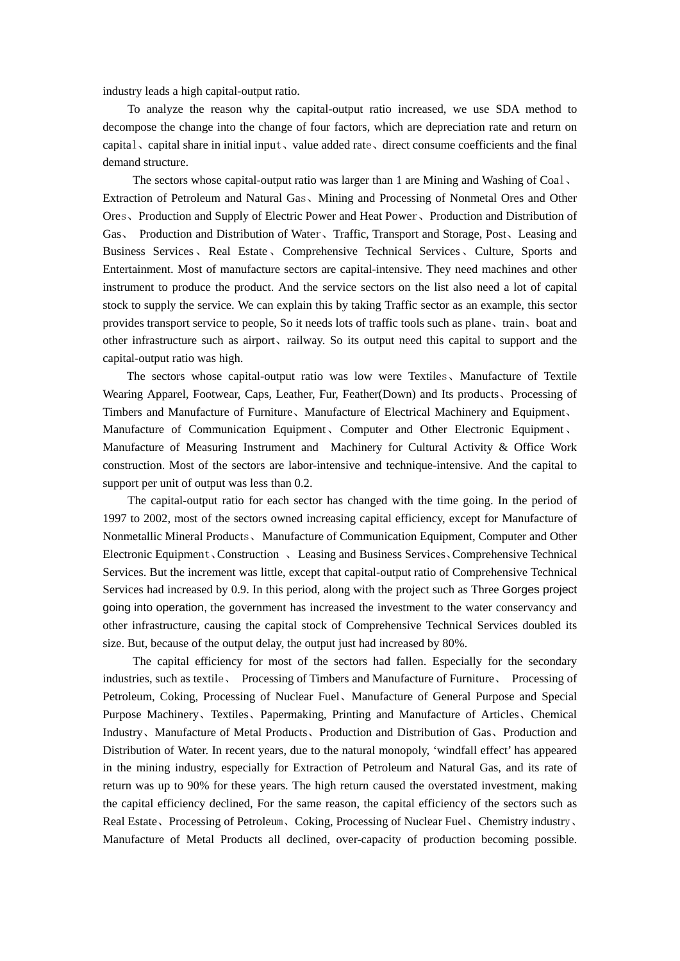industry leads a high capital-output ratio.

To analyze the reason why the capital-output ratio increased, we use SDA method to decompose the change into the change of four factors, which are depreciation rate and return on capital、capital share in initial input、value added rate、direct consume coefficients and the final demand structure.

The sectors whose capital-output ratio was larger than 1 are Mining and Washing of Coal、 Extraction of Petroleum and Natural Gas、Mining and Processing of Nonmetal Ores and Other Ores、Production and Supply of Electric Power and Heat Power、Production and Distribution of Gas、 Production and Distribution of Water、Traffic, Transport and Storage, Post、Leasing and Business Services、Real Estate、Comprehensive Technical Services、Culture, Sports and Entertainment. Most of manufacture sectors are capital-intensive. They need machines and other instrument to produce the product. And the service sectors on the list also need a lot of capital stock to supply the service. We can explain this by taking Traffic sector as an example, this sector provides transport service to people, So it needs lots of traffic tools such as plane、train、boat and other infrastructure such as airport、railway. So its output need this capital to support and the capital-output ratio was high.

 The sectors whose capital-output ratio was low were Textiles、Manufacture of Textile Wearing Apparel, Footwear, Caps, Leather, Fur, Feather(Down) and Its products、Processing of Timbers and Manufacture of Furniture、Manufacture of Electrical Machinery and Equipment、 Manufacture of Communication Equipment、Computer and Other Electronic Equipment、 Manufacture of Measuring Instrument and Machinery for Cultural Activity & Office Work construction. Most of the sectors are labor-intensive and technique-intensive. And the capital to support per unit of output was less than 0.2.

The capital-output ratio for each sector has changed with the time going. In the period of 1997 to 2002, most of the sectors owned increasing capital efficiency, except for Manufacture of Nonmetallic Mineral Products、 Manufacture of Communication Equipment, Computer and Other Electronic Equipment、Construction 、 Leasing and Business Services、Comprehensive Technical Services. But the increment was little, except that capital-output ratio of Comprehensive Technical Services had increased by 0.9. In this period, along with the project such as Three Gorges project going into operation, the government has increased the investment to the water conservancy and other infrastructure, causing the capital stock of Comprehensive Technical Services doubled its size. But, because of the output delay, the output just had increased by 80%.

The capital efficiency for most of the sectors had fallen. Especially for the secondary industries, such as textile、 Processing of Timbers and Manufacture of Furniture、 Processing of Petroleum, Coking, Processing of Nuclear Fuel、Manufacture of General Purpose and Special Purpose Machinery、Textiles、Papermaking, Printing and Manufacture of Articles、Chemical Industry、Manufacture of Metal Products、Production and Distribution of Gas、Production and Distribution of Water. In recent years, due to the natural monopoly, 'windfall effect' has appeared in the mining industry, especially for Extraction of Petroleum and Natural Gas, and its rate of return was up to 90% for these years. The high return caused the overstated investment, making the capital efficiency declined, For the same reason, the capital efficiency of the sectors such as Real Estate、Processing of Petroleum、Coking, Processing of Nuclear Fuel、Chemistry industry、 Manufacture of Metal Products all declined, over-capacity of production becoming possible.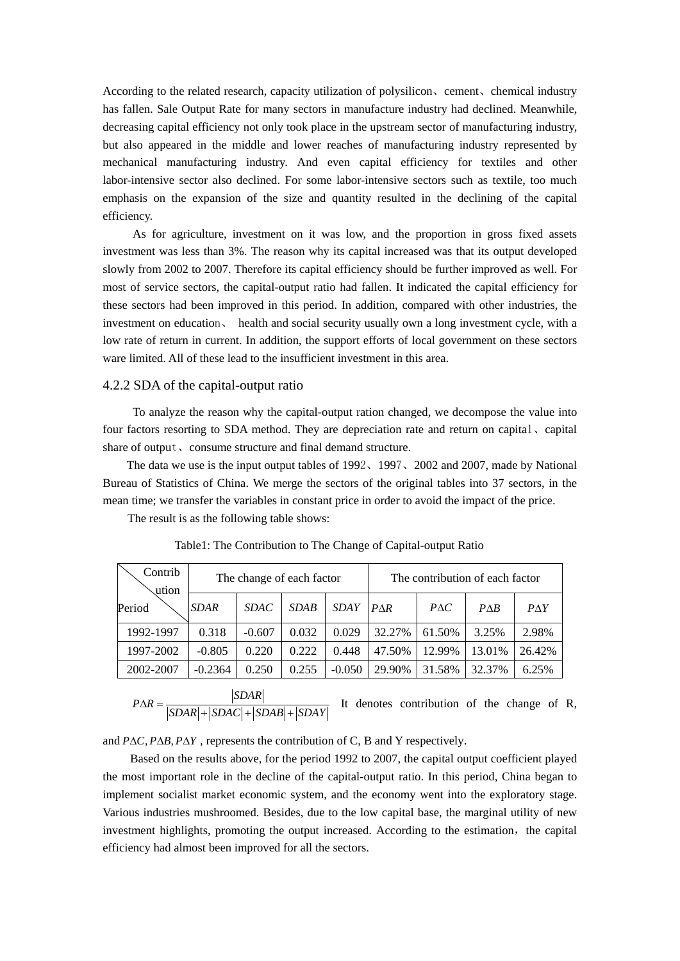According to the related research, capacity utilization of polysilicon、cement、chemical industry has fallen. Sale Output Rate for many sectors in manufacture industry had declined. Meanwhile, decreasing capital efficiency not only took place in the upstream sector of manufacturing industry, but also appeared in the middle and lower reaches of manufacturing industry represented by mechanical manufacturing industry. And even capital efficiency for textiles and other labor-intensive sector also declined. For some labor-intensive sectors such as textile, too much emphasis on the expansion of the size and quantity resulted in the declining of the capital efficiency.

As for agriculture, investment on it was low, and the proportion in gross fixed assets investment was less than 3%. The reason why its capital increased was that its output developed slowly from 2002 to 2007. Therefore its capital efficiency should be further improved as well. For most of service sectors, the capital-output ratio had fallen. It indicated the capital efficiency for these sectors had been improved in this period. In addition, compared with other industries, the investment on education、 health and social security usually own a long investment cycle, with a low rate of return in current. In addition, the support efforts of local government on these sectors ware limited. All of these lead to the insufficient investment in this area.

## 4.2.2 SDA of the capital-output ratio

 To analyze the reason why the capital-output ration changed, we decompose the value into four factors resorting to SDA method. They are depreciation rate and return on capital, capital share of output, consume structure and final demand structure.

 The data we use is the input output tables of 1992、1997、2002 and 2007, made by National Bureau of Statistics of China. We merge the sectors of the original tables into 37 sectors, in the mean time; we transfer the variables in constant price in order to avoid the impact of the price.

The result is as the following table shows:

| Contrib<br>ution | The change of each factor |             |             |             | The contribution of each factor |              |                |              |
|------------------|---------------------------|-------------|-------------|-------------|---------------------------------|--------------|----------------|--------------|
| Period           | <b>SDAR</b>               | <i>SDAC</i> | <b>SDAB</b> | <i>SDAY</i> | $P\Lambda R$                    | $P\Lambda C$ | $P\triangle B$ | $P\Lambda Y$ |
| 1992-1997        | 0.318                     | $-0.607$    | 0.032       | 0.029       | 32.27%                          | 61.50%       | 3.25%          | 2.98%        |
| 1997-2002        | $-0.805$                  | 0.220       | 0.222       | 0.448       | 47.50%                          | 12.99%       | 13.01%         | 26.42%       |
| 2002-2007        | $-0.2364$                 | 0.250       | 0.255       | $-0.050$    | 29.90%                          | 31.58%       | 32.37%         | 6.25%        |

Table1: The Contribution to The Change of Capital-output Ratio

 $P\Delta R = \frac{|SDAR|}{|SDAR| + |SDAC| + |SDAB| + |SDAY|}$  $\Delta R = \frac{|S I \cap R|}{|SDAR| + |SDAC| + |SDAB| + |SDAY|}$  It denotes contribution of the change of R,

and  $P \Delta C$ ,  $P \Delta B$ ,  $P \Delta Y$ , represents the contribution of C, B and Y respectively.

 Based on the results above, for the period 1992 to 2007, the capital output coefficient played the most important role in the decline of the capital-output ratio. In this period, China began to implement socialist market economic system, and the economy went into the exploratory stage. Various industries mushroomed. Besides, due to the low capital base, the marginal utility of new investment highlights, promoting the output increased. According to the estimation, the capital efficiency had almost been improved for all the sectors.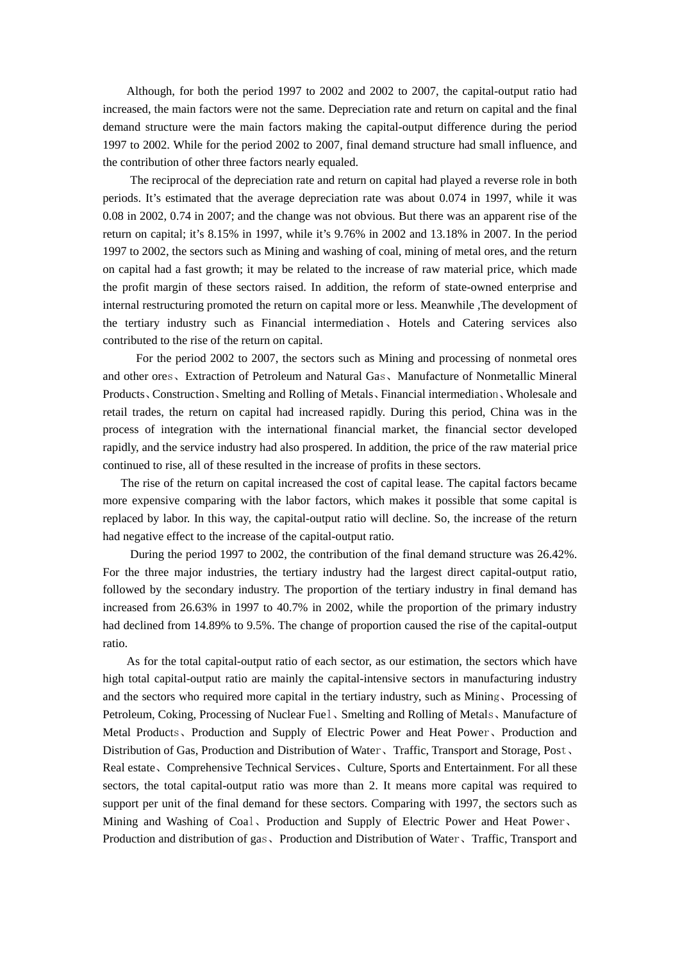Although, for both the period 1997 to 2002 and 2002 to 2007, the capital-output ratio had increased, the main factors were not the same. Depreciation rate and return on capital and the final demand structure were the main factors making the capital-output difference during the period 1997 to 2002. While for the period 2002 to 2007, final demand structure had small influence, and the contribution of other three factors nearly equaled.

The reciprocal of the depreciation rate and return on capital had played a reverse role in both periods. It's estimated that the average depreciation rate was about 0.074 in 1997, while it was 0.08 in 2002, 0.74 in 2007; and the change was not obvious. But there was an apparent rise of the return on capital; it's 8.15% in 1997, while it's 9.76% in 2002 and 13.18% in 2007. In the period 1997 to 2002, the sectors such as Mining and washing of coal, mining of metal ores, and the return on capital had a fast growth; it may be related to the increase of raw material price, which made the profit margin of these sectors raised. In addition, the reform of state-owned enterprise and internal restructuring promoted the return on capital more or less. Meanwhile ,The development of the tertiary industry such as Financial intermediation、Hotels and Catering services also contributed to the rise of the return on capital.

 For the period 2002 to 2007, the sectors such as Mining and processing of nonmetal ores and other ores、Extraction of Petroleum and Natural Gas、Manufacture of Nonmetallic Mineral Products、Construction、Smelting and Rolling of Metals、Financial intermediation、Wholesale and retail trades, the return on capital had increased rapidly. During this period, China was in the process of integration with the international financial market, the financial sector developed rapidly, and the service industry had also prospered. In addition, the price of the raw material price continued to rise, all of these resulted in the increase of profits in these sectors.

 The rise of the return on capital increased the cost of capital lease. The capital factors became more expensive comparing with the labor factors, which makes it possible that some capital is replaced by labor. In this way, the capital-output ratio will decline. So, the increase of the return had negative effect to the increase of the capital-output ratio.

During the period 1997 to 2002, the contribution of the final demand structure was 26.42%. For the three major industries, the tertiary industry had the largest direct capital-output ratio, followed by the secondary industry. The proportion of the tertiary industry in final demand has increased from 26.63% in 1997 to 40.7% in 2002, while the proportion of the primary industry had declined from 14.89% to 9.5%. The change of proportion caused the rise of the capital-output ratio.

As for the total capital-output ratio of each sector, as our estimation, the sectors which have high total capital-output ratio are mainly the capital-intensive sectors in manufacturing industry and the sectors who required more capital in the tertiary industry, such as Mining、Processing of Petroleum, Coking, Processing of Nuclear Fuel、Smelting and Rolling of Metals、Manufacture of Metal Products、Production and Supply of Electric Power and Heat Power、Production and Distribution of Gas, Production and Distribution of Water、Traffic, Transport and Storage, Post、 Real estate、Comprehensive Technical Services、Culture, Sports and Entertainment. For all these sectors, the total capital-output ratio was more than 2. It means more capital was required to support per unit of the final demand for these sectors. Comparing with 1997, the sectors such as Mining and Washing of Coal、Production and Supply of Electric Power and Heat Power、 Production and distribution of gas、Production and Distribution of Water、Traffic, Transport and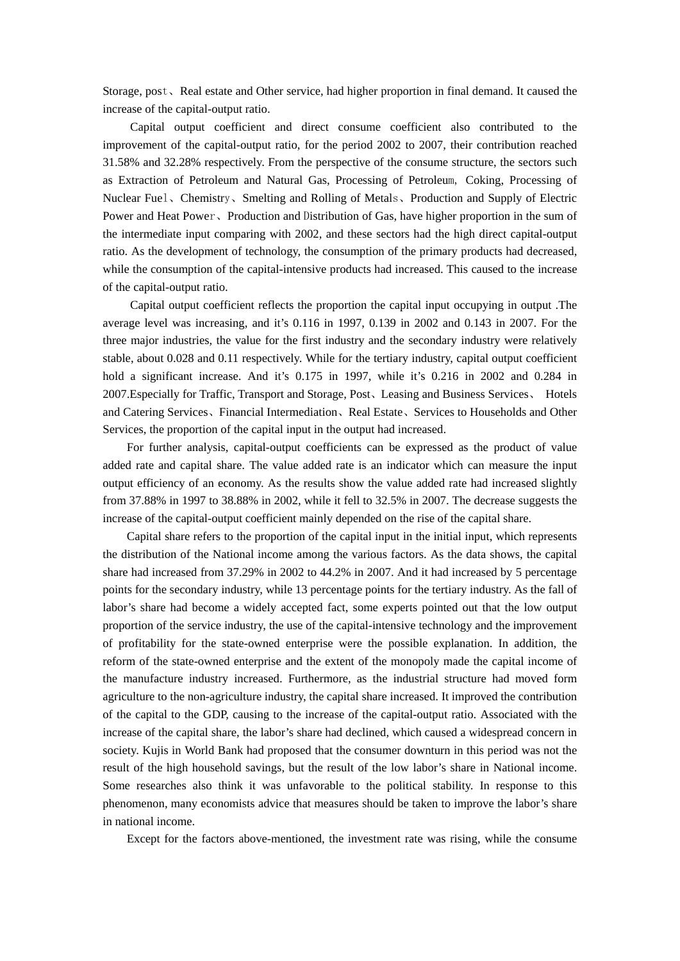Storage, post、Real estate and Other service, had higher proportion in final demand. It caused the increase of the capital-output ratio.

Capital output coefficient and direct consume coefficient also contributed to the improvement of the capital-output ratio, for the period 2002 to 2007, their contribution reached 31.58% and 32.28% respectively. From the perspective of the consume structure, the sectors such as Extraction of Petroleum and Natural Gas, Processing of Petroleum, Coking, Processing of Nuclear Fuel、Chemistry、Smelting and Rolling of Metals、Production and Supply of Electric Power and Heat Power、Production and Distribution of Gas, have higher proportion in the sum of the intermediate input comparing with 2002, and these sectors had the high direct capital-output ratio. As the development of technology, the consumption of the primary products had decreased, while the consumption of the capital-intensive products had increased. This caused to the increase of the capital-output ratio.

Capital output coefficient reflects the proportion the capital input occupying in output .The average level was increasing, and it's 0.116 in 1997, 0.139 in 2002 and 0.143 in 2007. For the three major industries, the value for the first industry and the secondary industry were relatively stable, about 0.028 and 0.11 respectively. While for the tertiary industry, capital output coefficient hold a significant increase. And it's 0.175 in 1997, while it's 0.216 in 2002 and 0.284 in 2007.Especially for Traffic, Transport and Storage, Post、Leasing and Business Services、 Hotels and Catering Services、Financial Intermediation、Real Estate、Services to Households and Other Services, the proportion of the capital input in the output had increased.

For further analysis, capital-output coefficients can be expressed as the product of value added rate and capital share. The value added rate is an indicator which can measure the input output efficiency of an economy. As the results show the value added rate had increased slightly from 37.88% in 1997 to 38.88% in 2002, while it fell to 32.5% in 2007. The decrease suggests the increase of the capital-output coefficient mainly depended on the rise of the capital share.

Capital share refers to the proportion of the capital input in the initial input, which represents the distribution of the National income among the various factors. As the data shows, the capital share had increased from 37.29% in 2002 to 44.2% in 2007. And it had increased by 5 percentage points for the secondary industry, while 13 percentage points for the tertiary industry. As the fall of labor's share had become a widely accepted fact, some experts pointed out that the low output proportion of the service industry, the use of the capital-intensive technology and the improvement of profitability for the state-owned enterprise were the possible explanation. In addition, the reform of the state-owned enterprise and the extent of the monopoly made the capital income of the manufacture industry increased. Furthermore, as the industrial structure had moved form agriculture to the non-agriculture industry, the capital share increased. It improved the contribution of the capital to the GDP, causing to the increase of the capital-output ratio. Associated with the increase of the capital share, the labor's share had declined, which caused a widespread concern in society. Kujis in World Bank had proposed that the consumer downturn in this period was not the result of the high household savings, but the result of the low labor's share in National income. Some researches also think it was unfavorable to the political stability. In response to this phenomenon, many economists advice that measures should be taken to improve the labor's share in national income.

Except for the factors above-mentioned, the investment rate was rising, while the consume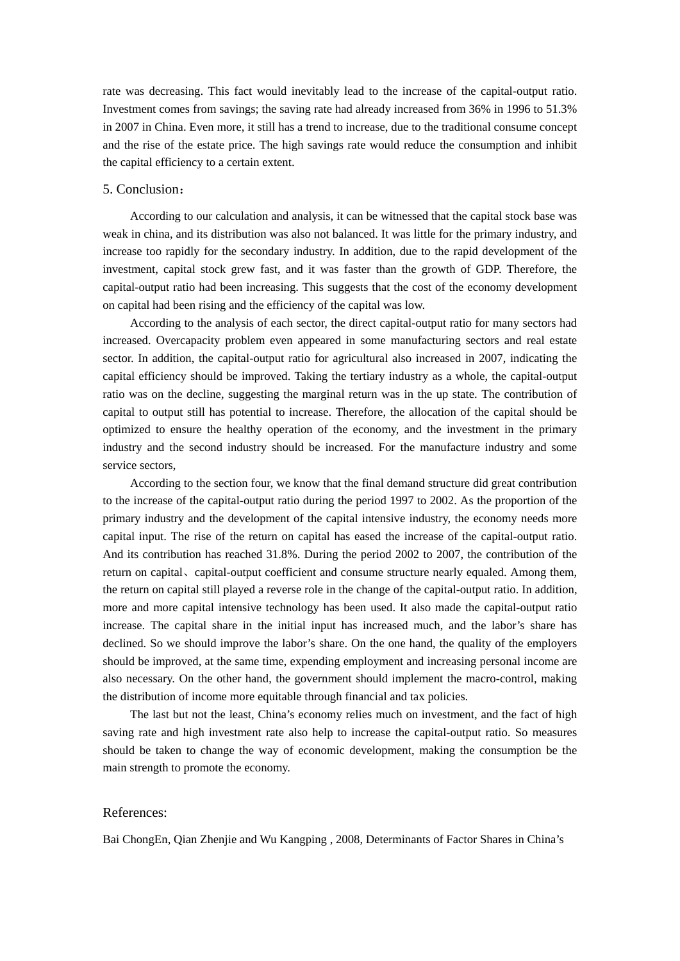rate was decreasing. This fact would inevitably lead to the increase of the capital-output ratio. Investment comes from savings; the saving rate had already increased from 36% in 1996 to 51.3% in 2007 in China. Even more, it still has a trend to increase, due to the traditional consume concept and the rise of the estate price. The high savings rate would reduce the consumption and inhibit the capital efficiency to a certain extent.

#### 5. Conclusion:

According to our calculation and analysis, it can be witnessed that the capital stock base was weak in china, and its distribution was also not balanced. It was little for the primary industry, and increase too rapidly for the secondary industry. In addition, due to the rapid development of the investment, capital stock grew fast, and it was faster than the growth of GDP. Therefore, the capital-output ratio had been increasing. This suggests that the cost of the economy development on capital had been rising and the efficiency of the capital was low.

According to the analysis of each sector, the direct capital-output ratio for many sectors had increased. Overcapacity problem even appeared in some manufacturing sectors and real estate sector. In addition, the capital-output ratio for agricultural also increased in 2007, indicating the capital efficiency should be improved. Taking the tertiary industry as a whole, the capital-output ratio was on the decline, suggesting the marginal return was in the up state. The contribution of capital to output still has potential to increase. Therefore, the allocation of the capital should be optimized to ensure the healthy operation of the economy, and the investment in the primary industry and the second industry should be increased. For the manufacture industry and some service sectors,

According to the section four, we know that the final demand structure did great contribution to the increase of the capital-output ratio during the period 1997 to 2002. As the proportion of the primary industry and the development of the capital intensive industry, the economy needs more capital input. The rise of the return on capital has eased the increase of the capital-output ratio. And its contribution has reached 31.8%. During the period 2002 to 2007, the contribution of the return on capital、capital-output coefficient and consume structure nearly equaled. Among them, the return on capital still played a reverse role in the change of the capital-output ratio. In addition, more and more capital intensive technology has been used. It also made the capital-output ratio increase. The capital share in the initial input has increased much, and the labor's share has declined. So we should improve the labor's share. On the one hand, the quality of the employers should be improved, at the same time, expending employment and increasing personal income are also necessary. On the other hand, the government should implement the macro-control, making the distribution of income more equitable through financial and tax policies.

The last but not the least, China's economy relies much on investment, and the fact of high saving rate and high investment rate also help to increase the capital-output ratio. So measures should be taken to change the way of economic development, making the consumption be the main strength to promote the economy.

#### References:

Bai ChongEn, Qian Zhenjie and Wu Kangping , 2008, Determinants of Factor Shares in China's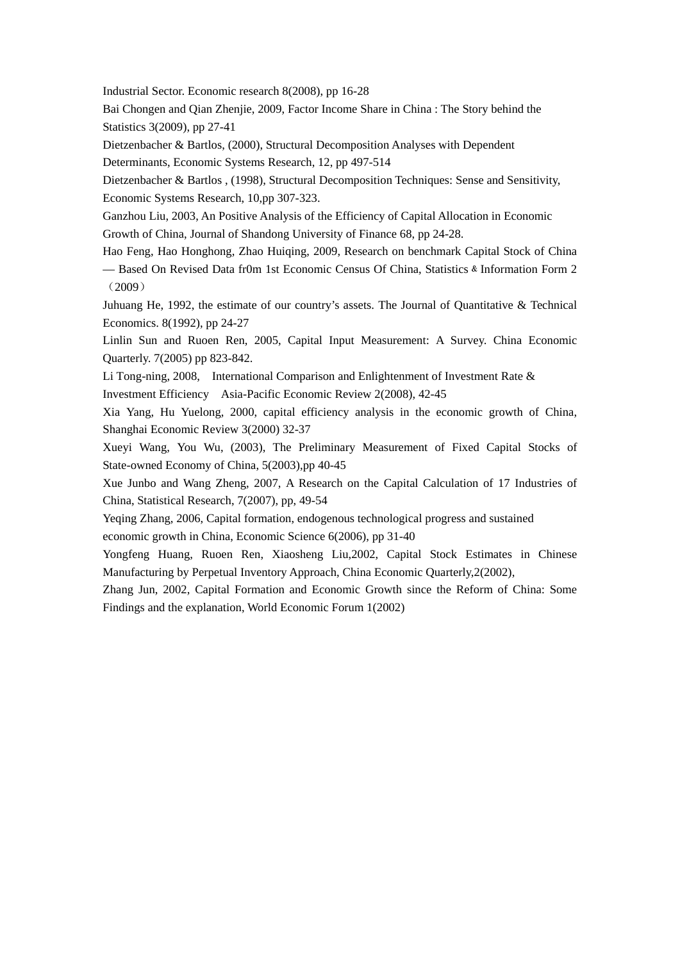Industrial Sector. Economic research 8(2008), pp 16-28

Bai Chongen and Qian Zhenjie, 2009, Factor Income Share in China : The Story behind the Statistics 3(2009), pp 27-41

Dietzenbacher & Bartlos, (2000), Structural Decomposition Analyses with Dependent Determinants, Economic Systems Research, 12, pp 497-514

Dietzenbacher & Bartlos , (1998), Structural Decomposition Techniques: Sense and Sensitivity, Economic Systems Research, 10,pp 307-323.

Ganzhou Liu, 2003, An Positive Analysis of the Efficiency of Capital Allocation in Economic Growth of China, Journal of Shandong University of Finance 68, pp 24-28.

Hao Feng, Hao Honghong, Zhao Huiqing, 2009, Research on benchmark Capital Stock of China — Based On Revised Data fr0m 1st Economic Census Of China, Statistics & Information Form 2 (2009)

Juhuang He, 1992, the estimate of our country's assets. The Journal of Quantitative & Technical Economics. 8(1992), pp 24-27

Linlin Sun and Ruoen Ren, 2005, Capital Input Measurement: A Survey. China Economic Quarterly. 7(2005) pp 823-842.

Li Tong-ning, 2008, International Comparison and Enlightenment of Investment Rate & Investment Efficiency Asia-Pacific Economic Review 2(2008), 42-45

Xia Yang, Hu Yuelong, 2000, capital efficiency analysis in the economic growth of China, Shanghai Economic Review 3(2000) 32-37

Xueyi Wang, You Wu, (2003), The Preliminary Measurement of Fixed Capital Stocks of State-owned Economy of China, 5(2003),pp 40-45

Xue Junbo and Wang Zheng, 2007, A Research on the Capital Calculation of 17 Industries of China, Statistical Research, 7(2007), pp, 49-54

Yeqing Zhang, 2006, Capital formation, endogenous technological progress and sustained

economic growth in China, Economic Science 6(2006), pp 31-40

Yongfeng Huang, Ruoen Ren, Xiaosheng Liu,2002, Capital Stock Estimates in Chinese Manufacturing by Perpetual Inventory Approach, China Economic Quarterly,2(2002),

Zhang Jun, 2002, Capital Formation and Economic Growth since the Reform of China: Some Findings and the explanation, World Economic Forum 1(2002)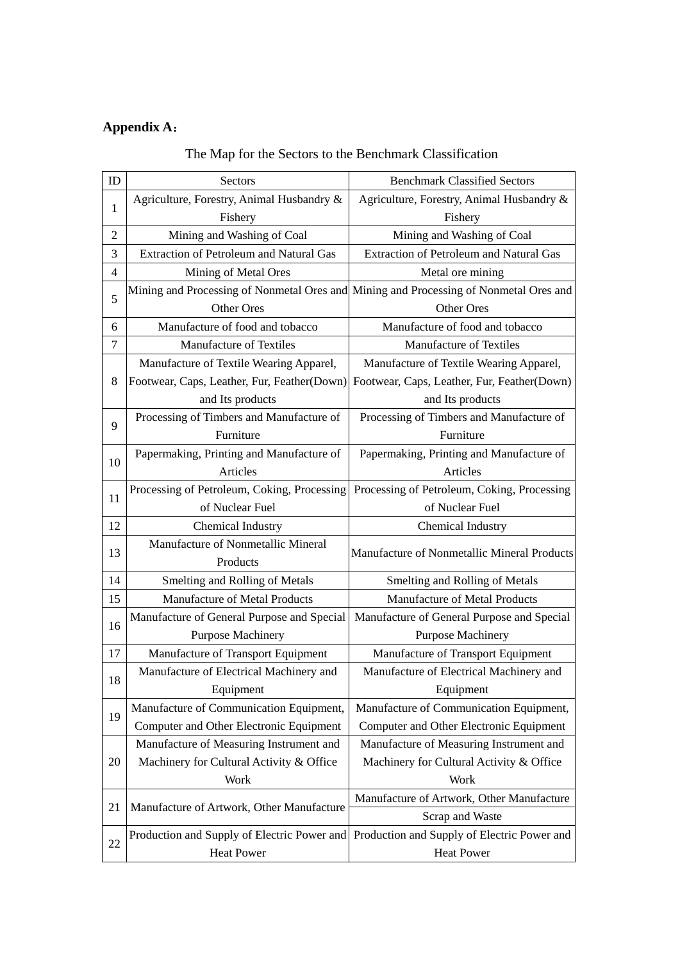# **Appendix A**:

| ID | Sectors                                        | <b>Benchmark Classified Sectors</b>                                                   |  |  |  |
|----|------------------------------------------------|---------------------------------------------------------------------------------------|--|--|--|
| 1  | Agriculture, Forestry, Animal Husbandry &      | Agriculture, Forestry, Animal Husbandry &                                             |  |  |  |
|    | Fishery                                        | Fishery                                                                               |  |  |  |
| 2  | Mining and Washing of Coal                     | Mining and Washing of Coal                                                            |  |  |  |
| 3  | <b>Extraction of Petroleum and Natural Gas</b> | <b>Extraction of Petroleum and Natural Gas</b>                                        |  |  |  |
| 4  | Mining of Metal Ores                           | Metal ore mining                                                                      |  |  |  |
| 5  |                                                | Mining and Processing of Nonmetal Ores and Mining and Processing of Nonmetal Ores and |  |  |  |
|    | Other Ores                                     | Other Ores                                                                            |  |  |  |
| 6  | Manufacture of food and tobacco                | Manufacture of food and tobacco                                                       |  |  |  |
| 7  | Manufacture of Textiles                        | Manufacture of Textiles                                                               |  |  |  |
|    | Manufacture of Textile Wearing Apparel,        | Manufacture of Textile Wearing Apparel,                                               |  |  |  |
| 8  | Footwear, Caps, Leather, Fur, Feather(Down)    | Footwear, Caps, Leather, Fur, Feather(Down)                                           |  |  |  |
|    | and Its products                               | and Its products                                                                      |  |  |  |
| 9  | Processing of Timbers and Manufacture of       | Processing of Timbers and Manufacture of                                              |  |  |  |
|    | Furniture                                      | Furniture                                                                             |  |  |  |
| 10 | Papermaking, Printing and Manufacture of       | Papermaking, Printing and Manufacture of                                              |  |  |  |
|    | Articles                                       | Articles                                                                              |  |  |  |
| 11 | Processing of Petroleum, Coking, Processing    | Processing of Petroleum, Coking, Processing                                           |  |  |  |
|    | of Nuclear Fuel                                | of Nuclear Fuel                                                                       |  |  |  |
| 12 | Chemical Industry                              | Chemical Industry                                                                     |  |  |  |
| 13 | Manufacture of Nonmetallic Mineral             | Manufacture of Nonmetallic Mineral Products                                           |  |  |  |
|    | Products                                       |                                                                                       |  |  |  |
| 14 | Smelting and Rolling of Metals                 | Smelting and Rolling of Metals                                                        |  |  |  |
| 15 | Manufacture of Metal Products                  | Manufacture of Metal Products                                                         |  |  |  |
| 16 | Manufacture of General Purpose and Special     | Manufacture of General Purpose and Special                                            |  |  |  |
|    | <b>Purpose Machinery</b>                       | <b>Purpose Machinery</b>                                                              |  |  |  |
| 17 | Manufacture of Transport Equipment             | Manufacture of Transport Equipment                                                    |  |  |  |
| 18 | Manufacture of Electrical Machinery and        | Manufacture of Electrical Machinery and                                               |  |  |  |
|    | Equipment                                      | Equipment                                                                             |  |  |  |
| 19 | Manufacture of Communication Equipment,        | Manufacture of Communication Equipment,                                               |  |  |  |
|    |                                                |                                                                                       |  |  |  |
|    | Computer and Other Electronic Equipment        | Computer and Other Electronic Equipment                                               |  |  |  |
|    | Manufacture of Measuring Instrument and        | Manufacture of Measuring Instrument and                                               |  |  |  |
| 20 | Machinery for Cultural Activity & Office       | Machinery for Cultural Activity & Office                                              |  |  |  |
|    | Work                                           | Work                                                                                  |  |  |  |
|    |                                                | Manufacture of Artwork, Other Manufacture                                             |  |  |  |
| 21 | Manufacture of Artwork, Other Manufacture      | Scrap and Waste                                                                       |  |  |  |
| 22 | Production and Supply of Electric Power and    | Production and Supply of Electric Power and                                           |  |  |  |

## The Map for the Sectors to the Benchmark Classification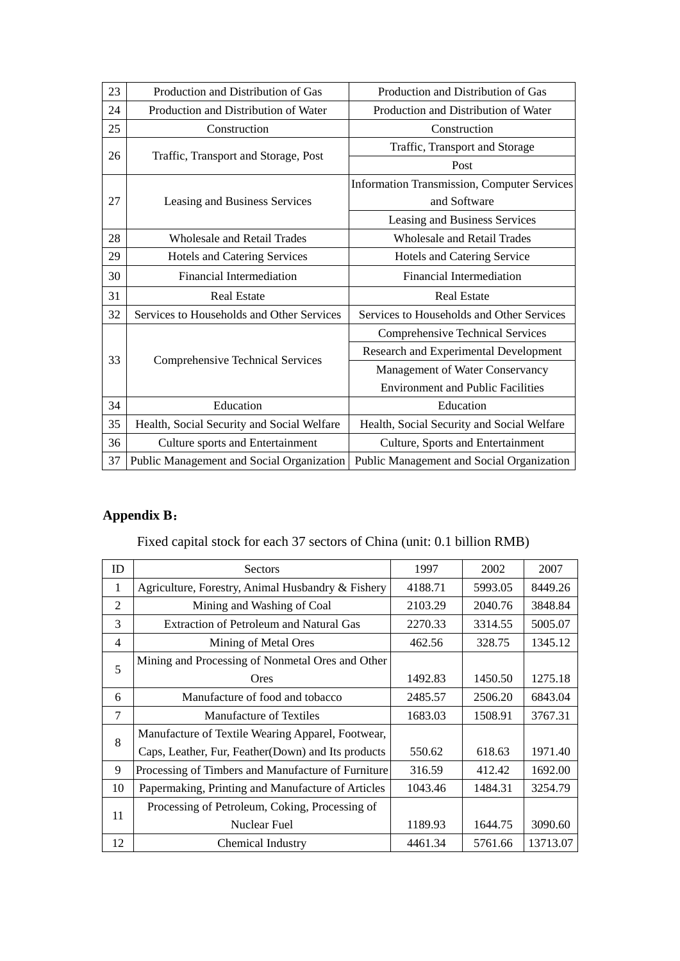| 23 | Production and Distribution of Gas         | Production and Distribution of Gas                 |  |
|----|--------------------------------------------|----------------------------------------------------|--|
| 24 | Production and Distribution of Water       | Production and Distribution of Water               |  |
| 25 | Construction                               | Construction                                       |  |
| 26 | Traffic, Transport and Storage, Post       | Traffic, Transport and Storage                     |  |
|    |                                            | Post                                               |  |
| 27 |                                            | <b>Information Transmission, Computer Services</b> |  |
|    | Leasing and Business Services              | and Software                                       |  |
|    |                                            | Leasing and Business Services                      |  |
| 28 | <b>Wholesale and Retail Trades</b>         | <b>Wholesale and Retail Trades</b>                 |  |
| 29 | Hotels and Catering Services               | Hotels and Catering Service                        |  |
| 30 | <b>Financial Intermediation</b>            | <b>Financial Intermediation</b>                    |  |
| 31 | <b>Real Estate</b>                         | <b>Real Estate</b>                                 |  |
| 32 | Services to Households and Other Services  | Services to Households and Other Services          |  |
|    |                                            | <b>Comprehensive Technical Services</b>            |  |
| 33 | Comprehensive Technical Services           | Research and Experimental Development              |  |
|    |                                            | Management of Water Conservancy                    |  |
|    |                                            | <b>Environment and Public Facilities</b>           |  |
| 34 | Education                                  | Education                                          |  |
| 35 | Health, Social Security and Social Welfare | Health, Social Security and Social Welfare         |  |
| 36 | Culture sports and Entertainment           | Culture, Sports and Entertainment                  |  |
| 37 | Public Management and Social Organization  | Public Management and Social Organization          |  |

# **Appendix B**:

# Fixed capital stock for each 37 sectors of China (unit: 0.1 billion RMB)

| ID     | Sectors                                            | 1997    | 2002                                              | 2007     |
|--------|----------------------------------------------------|---------|---------------------------------------------------|----------|
| 1      | Agriculture, Forestry, Animal Husbandry & Fishery  | 4188.71 | 5993.05                                           | 8449.26  |
| 2      | Mining and Washing of Coal                         | 2103.29 | 2040.76                                           | 3848.84  |
| 3      | <b>Extraction of Petroleum and Natural Gas</b>     | 2270.33 | 3314.55                                           | 5005.07  |
| 4      | Mining of Metal Ores                               | 462.56  | 328.75                                            | 1345.12  |
| 5      | Mining and Processing of Nonmetal Ores and Other   |         |                                                   |          |
|        | <b>Ores</b>                                        | 1492.83 | 1450.50                                           | 1275.18  |
| 6      | Manufacture of food and tobacco                    | 2485.57 | 2506.20                                           | 6843.04  |
| $\tau$ | <b>Manufacture of Textiles</b>                     | 1683.03 | 1508.91                                           | 3767.31  |
| 8      | Manufacture of Textile Wearing Apparel, Footwear,  |         |                                                   |          |
|        | Caps, Leather, Fur, Feather(Down) and Its products | 550.62  | 618.63<br>412.42<br>1484.31<br>1644.75<br>5761.66 | 1971.40  |
| 9      | Processing of Timbers and Manufacture of Furniture | 316.59  |                                                   | 1692.00  |
| 10     | Papermaking, Printing and Manufacture of Articles  | 1043.46 |                                                   | 3254.79  |
| 11     | Processing of Petroleum, Coking, Processing of     |         |                                                   |          |
|        | Nuclear Fuel                                       | 1189.93 |                                                   | 3090.60  |
| 12     | Chemical Industry                                  | 4461.34 |                                                   | 13713.07 |